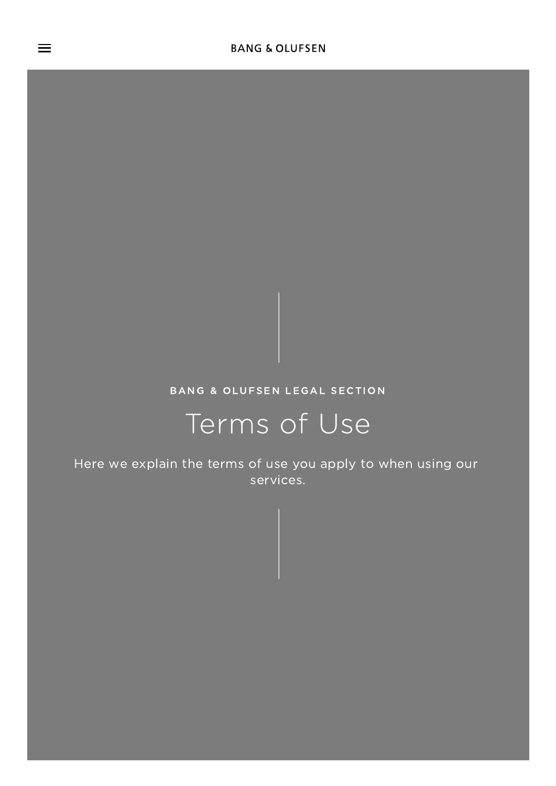#### BANG & OLUFSEN LEGAL SECTION

## Terms of Use

Here we explain the terms of use you apply to when using our services.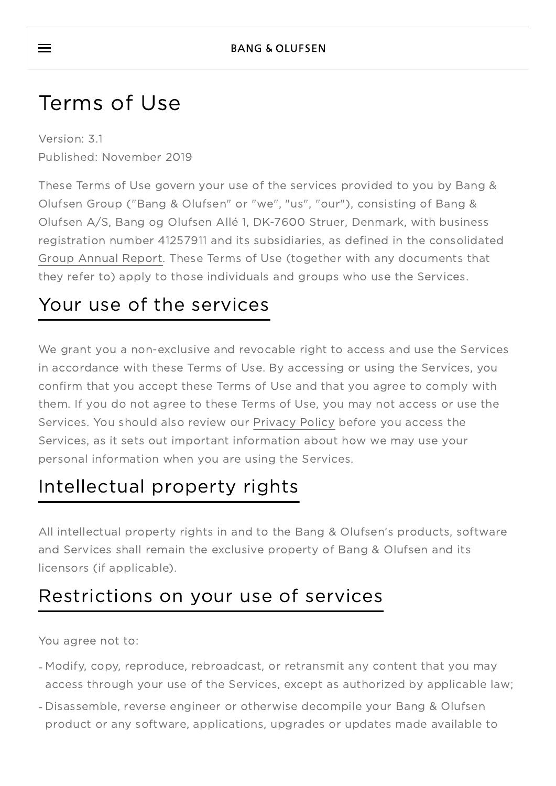### Terms of Use

Version: 3.1 Published: November 2019

These Terms of Use govern your use of the services provided to you by Bang & Olufsen Group ("Bang & Olufsen" or "we", "us", "our"), consisting of Bang & Olufsen A/S, Bang og Olufsen Allé 1, DK-7600 Struer, Denmark, with business registration number 41257911 and its subsidiaries, as defined in the consolidated Group Annual [Report.](https://investor.bang-olufsen.com/financial-reports) These Terms of Use (together with any documents that they refer to) apply to those individuals and groups who use the Services.

#### Your use of the services

We grant you a non-exclusive and revocable right to access and use the Services in accordance with these Terms of Use. By accessing or using the Services, you confirm that you accept these Terms of Use and that you agree to comply with them. If you do not agree to these Terms of Use, you may not access or use the Services. You should also review our [Privacy](https://corporate.bang-olufsen.com/en/en/legal/privacy-policy) Policy before you access the Services, as it sets out important information about how we may use your personal information when you are using the Services.

### Intellectual property rights

All intellectual property rights in and to the Bang & Olufsen's products, software and Services shall remain the exclusive property of Bang & Olufsen and its licensors (if applicable).

#### Restrictions on your use of services

You agree not to:

- Modify, copy, reproduce, rebroadcast, or retransmit any content that you may access through your use of the Services, except as authorized by applicable law;
- Disassemble, reverse engineer or otherwise decompile your Bang & Olufsen product or any software, applications, upgrades or updates made available to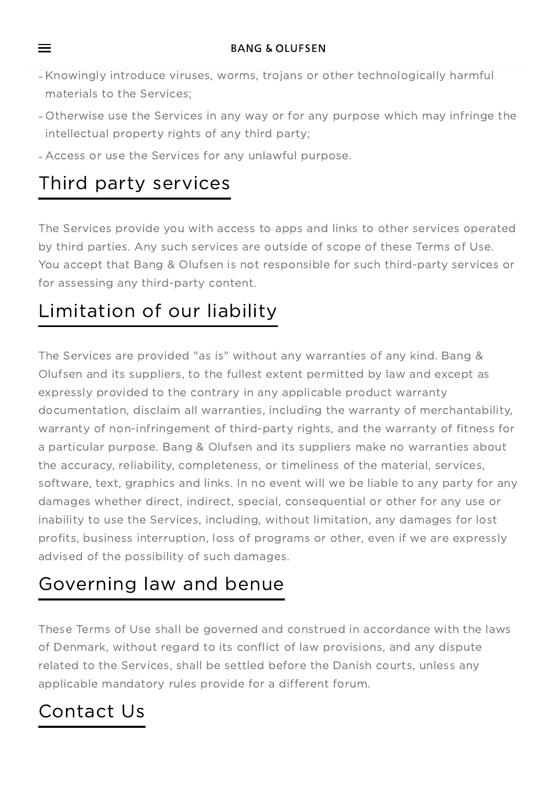- Knowingly introduce viruses, worms, trojans or other technologically harmful materials to the Services;
- Otherwise use the Services in any way or for any purpose which may infringe the intellectual property rights of any third party;
- Access or use the Services for any unlawful purpose.

#### Third party services

The Services provide you with access to apps and links to other services operated by third parties. Any such services are outside of scope of these Terms of Use. You accept that Bang & Olufsen is not responsible for such third-party services or for assessing any third-party content.

### Limitation of our liability

The Services are provided "as is" without any warranties of any kind. Bang & Olufsen and its suppliers, to the fullest extent permitted by law and except as expressly provided to the contrary in any applicable product warranty documentation, disclaim all warranties, including the warranty of merchantability, warranty of non-infringement of third-party rights, and the warranty of fitness for a particular purpose. Bang & Olufsen and its suppliers make no warranties about the accuracy, reliability, completeness, or timeliness of the material, services, software, text, graphics and links. In no event will we be liable to any party for any damages whether direct, indirect, special, consequential or other for any use or inability to use the Services, including, without limitation, any damages for lost profits, business interruption, loss of programs or other, even if we are expressly advised of the possibility of such damages.

#### Governing law and benue

These Terms of Use shall be governed and construed in accordance with the laws of Denmark, without regard to its conflict of law provisions, and any dispute related to the Services, shall be settled before the Danish courts, unless any applicable mandatory rules provide for a different forum.

### Contact Us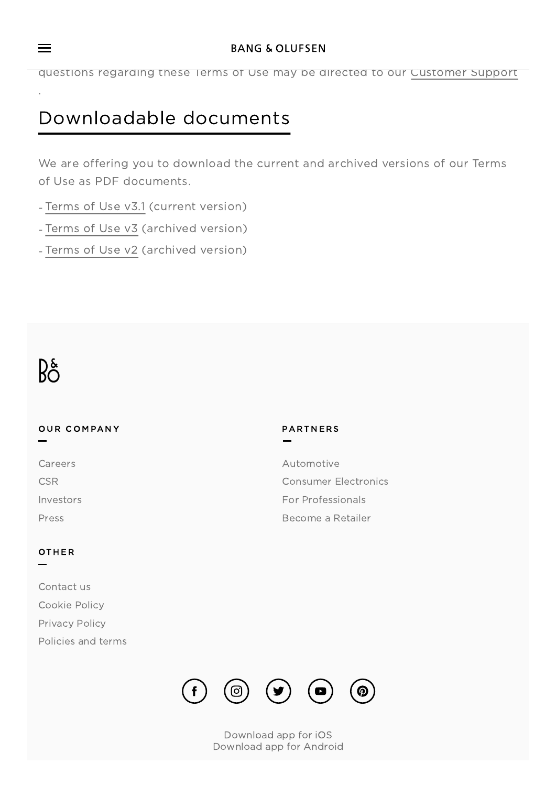questions regarding these Terms of Use may be directed to our [Customer](https://bang-olufsen.zendesk.com/hc/en-us/articles/360038206572) Support

#### Downloadable documents

We are offering you to download the current and archived versions of our Terms of Use as PDF documents.

- [Terms](https://beoecommercestoragelive.blob.core.windows.net/assets/legal/terms-of-use/may-7-2018-terms-of-use-v31.pdf) of Use v3.1 (current version)
- [Terms](https://beoecommercestoragelive.blob.core.windows.net/assets/legal/terms-of-use/may-7-2018-terms-of-use-v3.pdf) of Use v3 (archived version)
- [Terms](https://beoecommercestoragelive.blob.core.windows.net/assets/legal/terms-of-use/may-2-2018-terms-of-use-v2-en.pdf) of Use v2 (archived version)

# $B_0^s$

#### OUR COMPANY

| Careers    | Automotive           |
|------------|----------------------|
| <b>CSR</b> | Consumer Electronics |
| Investors  | For Professionals    |
| Press      | Become a Retailer    |

#### **OTHER**

| Contact us         |  |
|--------------------|--|
| Cookie Policy      |  |
| Privacy Policy     |  |
| Policies and terms |  |



**PARTNERS** 

[Download](https://apps.apple.com/us/app/bang-olufsen/id1203736217) app for iOS [Download](https://play.google.com/store/apps/details?id=com.bang_olufsen.OneApp&hl=en) app for Android

.